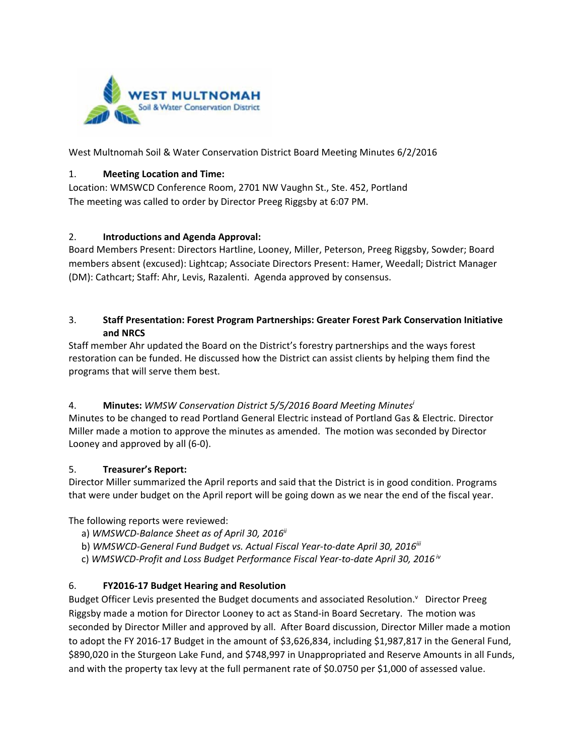

West Multnomah Soil & Water Conservation District Board Meeting Minutes 6/2/2016

#### 1. **Meeting Location and Time:**

Location: WMSWCD Conference Room, 2701 NW Vaughn St., Ste. 452, Portland The meeting was called to order by Director Preeg Riggsby at 6:07 PM.

#### 2. **Introductions and Agenda Approval:**

Board Members Present: Directors Hartline, Looney, Miller, Peterson, Preeg Riggsby, Sowder; Board members absent (excused): Lightcap; Associate Directors Present: Hamer, Weedall; District Manager (DM): Cathcart; Staff: Ahr, Levis, Razalenti. Agenda approved by consensus.

#### 3. **Staff Presentation: Forest Program Partnerships: Greater Forest Park Conservation Initiative and NRCS**

Staff member Ahr updated the Board on the District's forestry partnerships and the ways forest restoration can be funded. He discussed how the District can assist clients by helping them find the programs that will serve them best.

# 4. **Minutes:** *WMSW Conservation District 5/5/2016 Board Meeting Minutesi*

Minutes to be changed to read Portland General Electric instead of Portland Gas & Electric. Director Miller made a motion to approve the minutes as amended. The motion was seconded by Director Looney and approved by all (6‐0).

### 5. **Treasurer's Report:**

Director Miller summarized the April reports and said that the District is in good condition. Programs that were under budget on the April report will be going down as we near the end of the fiscal year.

The following reports were reviewed:

- a) *WMSWCD‐Balance Sheet as of April 30, 2016ii*
- b) *WMSWCD‐General Fund Budget vs. Actual Fiscal Year‐to‐date April 30, 2016iii*
- c) *WMSWCD‐Profit and Loss Budget Performance Fiscal Year‐to‐date April 30, 2016 iv*

### 6. **FY2016‐17 Budget Hearing and Resolution**

Budget Officer Levis presented the Budget documents and associated Resolution.<sup>v</sup> Director Preeg Riggsby made a motion for Director Looney to act as Stand‐in Board Secretary. The motion was seconded by Director Miller and approved by all. After Board discussion, Director Miller made a motion to adopt the FY 2016-17 Budget in the amount of \$3,626,834, including \$1,987,817 in the General Fund, \$890,020 in the Sturgeon Lake Fund, and \$748,997 in Unappropriated and Reserve Amounts in all Funds, and with the property tax levy at the full permanent rate of \$0.0750 per \$1,000 of assessed value.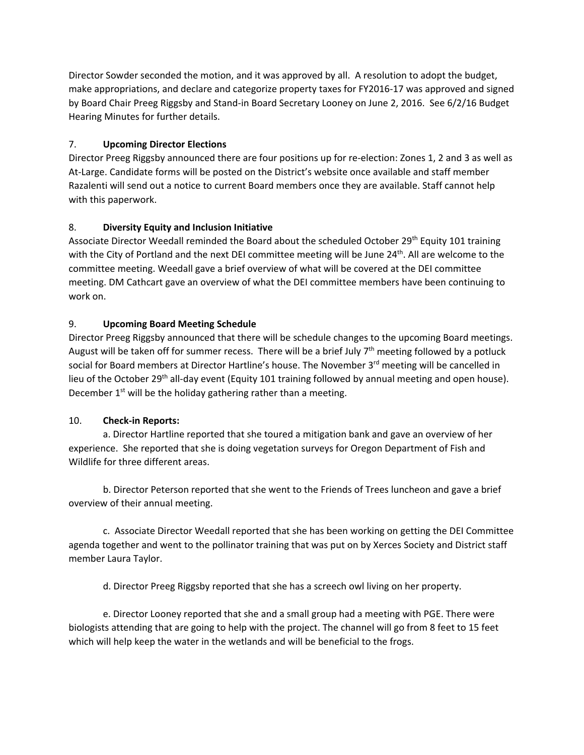Director Sowder seconded the motion, and it was approved by all. A resolution to adopt the budget, make appropriations, and declare and categorize property taxes for FY2016‐17 was approved and signed by Board Chair Preeg Riggsby and Stand‐in Board Secretary Looney on June 2, 2016. See 6/2/16 Budget Hearing Minutes for further details.

## 7. **Upcoming Director Elections**

Director Preeg Riggsby announced there are four positions up for re‐election: Zones 1, 2 and 3 as well as At-Large. Candidate forms will be posted on the District's website once available and staff member Razalenti will send out a notice to current Board members once they are available. Staff cannot help with this paperwork.

## 8. **Diversity Equity and Inclusion Initiative**

Associate Director Weedall reminded the Board about the scheduled October 29<sup>th</sup> Equity 101 training with the City of Portland and the next DEI committee meeting will be June 24<sup>th</sup>. All are welcome to the committee meeting. Weedall gave a brief overview of what will be covered at the DEI committee meeting. DM Cathcart gave an overview of what the DEI committee members have been continuing to work on.

## 9. **Upcoming Board Meeting Schedule**

Director Preeg Riggsby announced that there will be schedule changes to the upcoming Board meetings. August will be taken off for summer recess. There will be a brief July 7<sup>th</sup> meeting followed by a potluck social for Board members at Director Hartline's house. The November 3<sup>rd</sup> meeting will be cancelled in lieu of the October 29<sup>th</sup> all-day event (Equity 101 training followed by annual meeting and open house). December  $1^{st}$  will be the holiday gathering rather than a meeting.

# 10. **Check‐in Reports:**

a. Director Hartline reported that she toured a mitigation bank and gave an overview of her experience. She reported that she is doing vegetation surveys for Oregon Department of Fish and Wildlife for three different areas.

b. Director Peterson reported that she went to the Friends of Trees luncheon and gave a brief overview of their annual meeting.

c. Associate Director Weedall reported that she has been working on getting the DEI Committee agenda together and went to the pollinator training that was put on by Xerces Society and District staff member Laura Taylor.

d. Director Preeg Riggsby reported that she has a screech owl living on her property.

e. Director Looney reported that she and a small group had a meeting with PGE. There were biologists attending that are going to help with the project. The channel will go from 8 feet to 15 feet which will help keep the water in the wetlands and will be beneficial to the frogs.